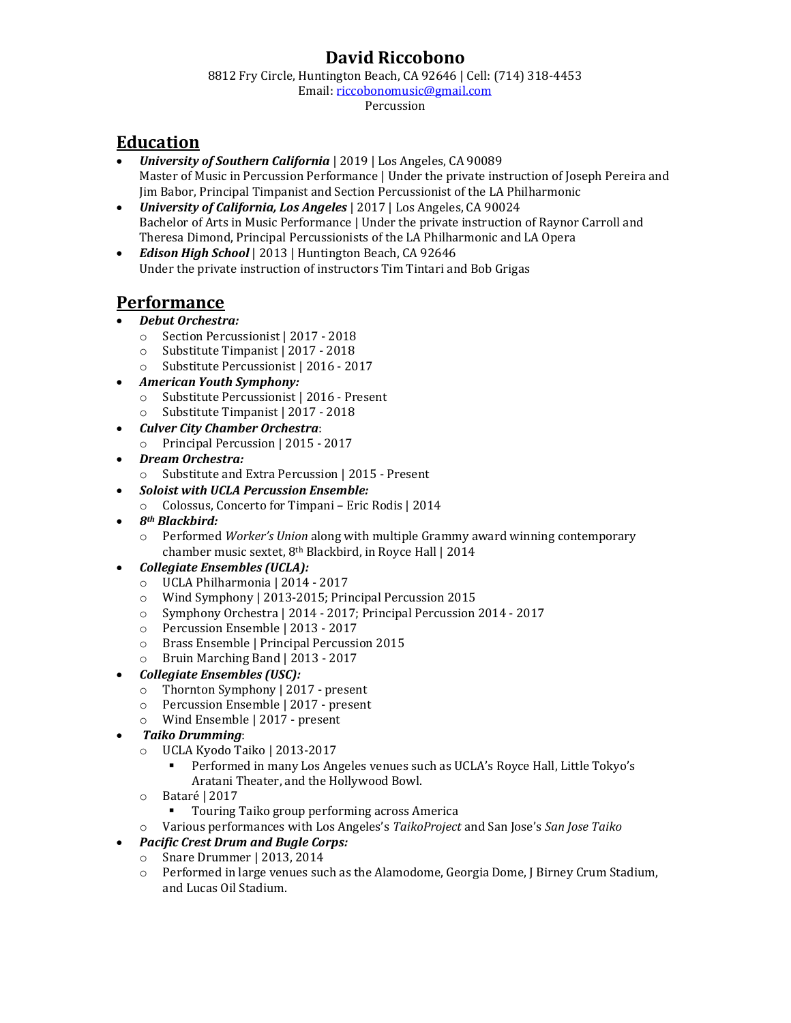## **David Riccobono**

8812 Fry Circle, Huntington Beach, CA 92646 | Cell: (714) 318-4453

Email[: riccobonomusic@gmail.com](mailto:riccobonomusic@gmail.com)

Percussion

# **Education**

- *University of Southern California* | 2019 | Los Angeles, CA 90089 Master of Music in Percussion Performance | Under the private instruction of Joseph Pereira and Jim Babor, Principal Timpanist and Section Percussionist of the LA Philharmonic
- *University of California, Los Angeles* | 2017 | Los Angeles, CA 90024 Bachelor of Arts in Music Performance | Under the private instruction of Raynor Carroll and Theresa Dimond, Principal Percussionists of the LA Philharmonic and LA Opera
- *Edison High School* | 2013 | Huntington Beach, CA 92646 Under the private instruction of instructors Tim Tintari and Bob Grigas

# **Performance**

### • *Debut Orchestra:*

- o Section Percussionist | 2017 2018
- o Substitute Timpanist | 2017 2018
- o Substitute Percussionist | 2016 2017
- *American Youth Symphony:*
	- o Substitute Percussionist | 2016 Present
	- o Substitute Timpanist | 2017 2018
- *Culver City Chamber Orchestra*:
	- o Principal Percussion | 2015 2017
- *Dream Orchestra:*
	- o Substitute and Extra Percussion | 2015 Present
- *Soloist with UCLA Percussion Ensemble:*
	- o Colossus, Concerto for Timpani Eric Rodis | 2014
- *8th Blackbird:*
	- o Performed *Worker's Union* along with multiple Grammy award winning contemporary chamber music sextet, 8th Blackbird, in Royce Hall | 2014

#### • *Collegiate Ensembles (UCLA):*

- o UCLA Philharmonia | 2014 2017
- o Wind Symphony | 2013-2015; Principal Percussion 2015
- o Symphony Orchestra | 2014 2017; Principal Percussion 2014 2017
- o Percussion Ensemble | 2013 2017
- o Brass Ensemble | Principal Percussion 2015
- o Bruin Marching Band | 2013 2017
- *Collegiate Ensembles (USC):*
	- o Thornton Symphony | 2017 present
	- o Percussion Ensemble | 2017 present
	- o Wind Ensemble | 2017 present
- *Taiko Drumming*:
	- o UCLA Kyodo Taiko | 2013-2017
		- Performed in many Los Angeles venues such as UCLA's Royce Hall, Little Tokyo's Aratani Theater, and the Hollywood Bowl.
	- o Bataré | 2017
		- Touring Taiko group performing across America
	- o Various performances with Los Angeles's *TaikoProject* and San Jose's *San Jose Taiko*

#### • *Pacific Crest Drum and Bugle Corps:*

- o Snare Drummer | 2013, 2014
- o Performed in large venues such as the Alamodome, Georgia Dome, J Birney Crum Stadium, and Lucas Oil Stadium.